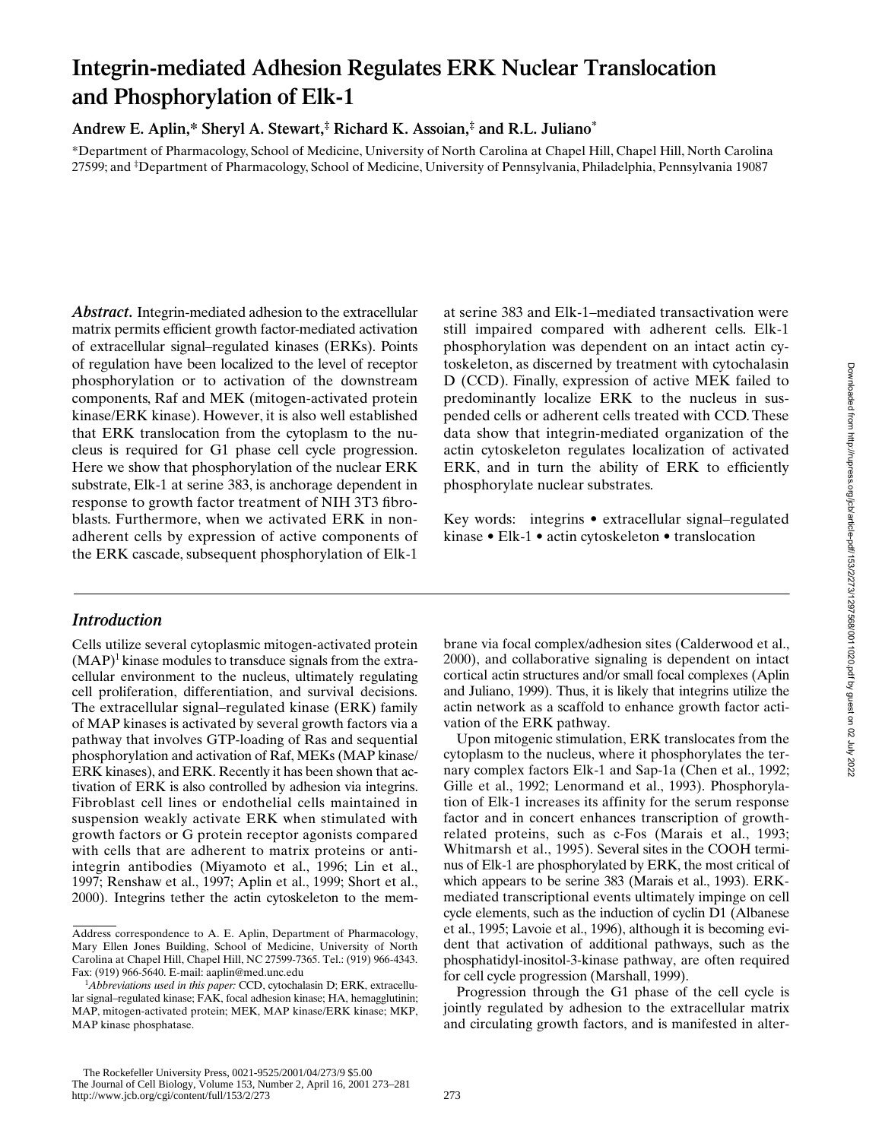# **Integrin-mediated Adhesion Regulates ERK Nuclear Translocation and Phosphorylation of Elk-1**

**Andrew E. Aplin,\* Sheryl A. Stewart,‡ Richard K. Assoian,‡ and R.L. Juliano\***

\*Department of Pharmacology, School of Medicine, University of North Carolina at Chapel Hill, Chapel Hill, North Carolina 27599; and ‡ Department of Pharmacology, School of Medicine, University of Pennsylvania, Philadelphia, Pennsylvania 19087

*Abstract.* Integrin-mediated adhesion to the extracellular matrix permits efficient growth factor-mediated activation of extracellular signal–regulated kinases (ERKs). Points of regulation have been localized to the level of receptor phosphorylation or to activation of the downstream components, Raf and MEK (mitogen-activated protein kinase/ERK kinase). However, it is also well established that ERK translocation from the cytoplasm to the nucleus is required for G1 phase cell cycle progression. Here we show that phosphorylation of the nuclear ERK substrate, Elk-1 at serine 383, is anchorage dependent in response to growth factor treatment of NIH 3T3 fibroblasts. Furthermore, when we activated ERK in nonadherent cells by expression of active components of the ERK cascade, subsequent phosphorylation of Elk-1

### at serine 383 and Elk-1–mediated transactivation were still impaired compared with adherent cells. Elk-1 phosphorylation was dependent on an intact actin cytoskeleton, as discerned by treatment with cytochalasin D (CCD). Finally, expression of active MEK failed to predominantly localize ERK to the nucleus in suspended cells or adherent cells treated with CCD. These data show that integrin-mediated organization of the actin cytoskeleton regulates localization of activated ERK, and in turn the ability of ERK to efficiently phosphorylate nuclear substrates.

Key words: integrins • extracellular signal–regulated kinase • Elk-1 • actin cytoskeleton • translocation

### *Introduction*

Cells utilize several cytoplasmic mitogen-activated protein  $(MAP)^1$  kinase modules to transduce signals from the extracellular environment to the nucleus, ultimately regulating cell proliferation, differentiation, and survival decisions. The extracellular signal–regulated kinase (ERK) family of MAP kinases is activated by several growth factors via a pathway that involves GTP-loading of Ras and sequential phosphorylation and activation of Raf, MEKs (MAP kinase/ ERK kinases), and ERK. Recently it has been shown that activation of ERK is also controlled by adhesion via integrins. Fibroblast cell lines or endothelial cells maintained in suspension weakly activate ERK when stimulated with growth factors or G protein receptor agonists compared with cells that are adherent to matrix proteins or antiintegrin antibodies (Miyamoto et al., 1996; Lin et al., 1997; Renshaw et al., 1997; Aplin et al., 1999; Short et al., 2000). Integrins tether the actin cytoskeleton to the mem-

brane via focal complex/adhesion sites (Calderwood et al., 2000), and collaborative signaling is dependent on intact cortical actin structures and/or small focal complexes (Aplin and Juliano, 1999). Thus, it is likely that integrins utilize the actin network as a scaffold to enhance growth factor activation of the ERK pathway.

Upon mitogenic stimulation, ERK translocates from the cytoplasm to the nucleus, where it phosphorylates the ternary complex factors Elk-1 and Sap-1a (Chen et al., 1992; Gille et al., 1992; Lenormand et al., 1993). Phosphorylation of Elk-1 increases its affinity for the serum response factor and in concert enhances transcription of growthrelated proteins, such as c-Fos (Marais et al., 1993; Whitmarsh et al., 1995). Several sites in the COOH terminus of Elk-1 are phosphorylated by ERK, the most critical of which appears to be serine 383 (Marais et al., 1993). ERKmediated transcriptional events ultimately impinge on cell cycle elements, such as the induction of cyclin D1 (Albanese et al., 1995; Lavoie et al., 1996), although it is becoming evident that activation of additional pathways, such as the phosphatidyl-inositol-3-kinase pathway, are often required for cell cycle progression (Marshall, 1999).

Progression through the G1 phase of the cell cycle is jointly regulated by adhesion to the extracellular matrix and circulating growth factors, and is manifested in alter-

Address correspondence to A. E. Aplin, Department of Pharmacology, Mary Ellen Jones Building, School of Medicine, University of North Carolina at Chapel Hill, Chapel Hill, NC 27599-7365. Tel.: (919) 966-4343. Fax: (919) 966-5640. E-mail: aaplin@med.unc.edu

<sup>&</sup>lt;sup>1</sup>Abbreviations used in this paper: CCD, cytochalasin D; ERK, extracellular signal–regulated kinase; FAK, focal adhesion kinase; HA, hemagglutinin; MAP, mitogen-activated protein; MEK, MAP kinase/ERK kinase; MKP, MAP kinase phosphatase.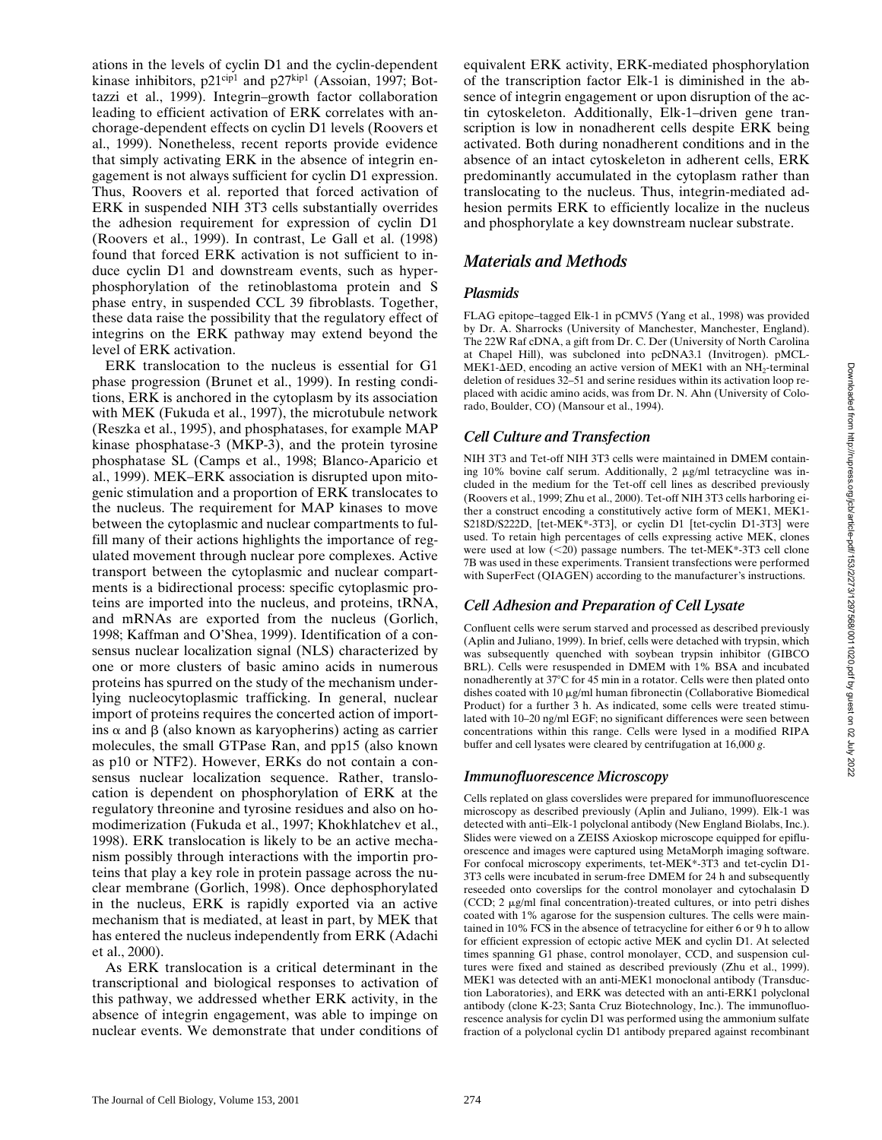ations in the levels of cyclin D1 and the cyclin-dependent kinase inhibitors,  $p21^{cip1}$  and  $p27^{kip1}$  (Assoian, 1997; Bottazzi et al., 1999). Integrin–growth factor collaboration leading to efficient activation of ERK correlates with anchorage-dependent effects on cyclin D1 levels (Roovers et al., 1999). Nonetheless, recent reports provide evidence that simply activating ERK in the absence of integrin engagement is not always sufficient for cyclin D1 expression. Thus, Roovers et al. reported that forced activation of ERK in suspended NIH 3T3 cells substantially overrides the adhesion requirement for expression of cyclin D1 (Roovers et al., 1999). In contrast, Le Gall et al. (1998) found that forced ERK activation is not sufficient to induce cyclin D1 and downstream events, such as hyperphosphorylation of the retinoblastoma protein and S phase entry, in suspended CCL 39 fibroblasts. Together, these data raise the possibility that the regulatory effect of integrins on the ERK pathway may extend beyond the level of ERK activation.

ERK translocation to the nucleus is essential for G1 phase progression (Brunet et al., 1999). In resting conditions, ERK is anchored in the cytoplasm by its association with MEK (Fukuda et al., 1997), the microtubule network (Reszka et al., 1995), and phosphatases, for example MAP kinase phosphatase-3 (MKP-3), and the protein tyrosine phosphatase SL (Camps et al., 1998; Blanco-Aparicio et al., 1999). MEK–ERK association is disrupted upon mitogenic stimulation and a proportion of ERK translocates to the nucleus. The requirement for MAP kinases to move between the cytoplasmic and nuclear compartments to fulfill many of their actions highlights the importance of regulated movement through nuclear pore complexes. Active transport between the cytoplasmic and nuclear compartments is a bidirectional process: specific cytoplasmic proteins are imported into the nucleus, and proteins, tRNA, and mRNAs are exported from the nucleus (Gorlich, 1998; Kaffman and O'Shea, 1999). Identification of a consensus nuclear localization signal (NLS) characterized by one or more clusters of basic amino acids in numerous proteins has spurred on the study of the mechanism underlying nucleocytoplasmic trafficking. In general, nuclear import of proteins requires the concerted action of importins  $\alpha$  and  $\beta$  (also known as karyopherins) acting as carrier molecules, the small GTPase Ran, and pp15 (also known as p10 or NTF2). However, ERKs do not contain a consensus nuclear localization sequence. Rather, translocation is dependent on phosphorylation of ERK at the regulatory threonine and tyrosine residues and also on homodimerization (Fukuda et al., 1997; Khokhlatchev et al., 1998). ERK translocation is likely to be an active mechanism possibly through interactions with the importin proteins that play a key role in protein passage across the nuclear membrane (Gorlich, 1998). Once dephosphorylated in the nucleus, ERK is rapidly exported via an active mechanism that is mediated, at least in part, by MEK that has entered the nucleus independently from ERK (Adachi et al., 2000).

As ERK translocation is a critical determinant in the transcriptional and biological responses to activation of this pathway, we addressed whether ERK activity, in the absence of integrin engagement, was able to impinge on nuclear events. We demonstrate that under conditions of

equivalent ERK activity, ERK-mediated phosphorylation of the transcription factor Elk-1 is diminished in the absence of integrin engagement or upon disruption of the actin cytoskeleton. Additionally, Elk-1–driven gene transcription is low in nonadherent cells despite ERK being activated. Both during nonadherent conditions and in the absence of an intact cytoskeleton in adherent cells, ERK predominantly accumulated in the cytoplasm rather than translocating to the nucleus. Thus, integrin-mediated adhesion permits ERK to efficiently localize in the nucleus and phosphorylate a key downstream nuclear substrate.

### *Materials and Methods*

### *Plasmids*

FLAG epitope–tagged Elk-1 in pCMV5 (Yang et al., 1998) was provided by Dr. A. Sharrocks (University of Manchester, Manchester, England). The 22W Raf cDNA, a gift from Dr. C. Der (University of North Carolina at Chapel Hill), was subcloned into pcDNA3.1 (Invitrogen). pMCL-MEK1- $\Delta$ ED, encoding an active version of MEK1 with an NH<sub>2</sub>-terminal deletion of residues 32–51 and serine residues within its activation loop replaced with acidic amino acids, was from Dr. N. Ahn (University of Colorado, Boulder, CO) (Mansour et al., 1994).

### *Cell Culture and Transfection*

NIH 3T3 and Tet-off NIH 3T3 cells were maintained in DMEM containing 10% bovine calf serum. Additionally, 2  $\mu$ g/ml tetracycline was included in the medium for the Tet-off cell lines as described previously (Roovers et al., 1999; Zhu et al., 2000). Tet-off NIH 3T3 cells harboring either a construct encoding a constitutively active form of MEK1, MEK1- S218D/S222D, [tet-MEK\*-3T3], or cyclin D1 [tet-cyclin D1-3T3] were used. To retain high percentages of cells expressing active MEK, clones were used at low  $(<20$ ) passage numbers. The tet-MEK $*$ -3T3 cell clone 7B was used in these experiments. Transient transfections were performed with SuperFect (QIAGEN) according to the manufacturer's instructions.

### *Cell Adhesion and Preparation of Cell Lysate*

Confluent cells were serum starved and processed as described previously (Aplin and Juliano, 1999). In brief, cells were detached with trypsin, which was subsequently quenched with soybean trypsin inhibitor (GIBCO BRL). Cells were resuspended in DMEM with 1% BSA and incubated nonadherently at 37°C for 45 min in a rotator. Cells were then plated onto dishes coated with  $10 \mu g/ml$  human fibronectin (Collaborative Biomedical Product) for a further 3 h. As indicated, some cells were treated stimulated with 10–20 ng/ml EGF; no significant differences were seen between concentrations within this range. Cells were lysed in a modified RIPA buffer and cell lysates were cleared by centrifugation at 16,000 *g*.

### *Immunofluorescence Microscopy*

Cells replated on glass coverslides were prepared for immunofluorescence microscopy as described previously (Aplin and Juliano, 1999). Elk-1 was detected with anti–Elk-1 polyclonal antibody (New England Biolabs, Inc.). Slides were viewed on a ZEISS Axioskop microscope equipped for epifluorescence and images were captured using MetaMorph imaging software. For confocal microscopy experiments, tet-MEK\*-3T3 and tet-cyclin D1- 3T3 cells were incubated in serum-free DMEM for 24 h and subsequently reseeded onto coverslips for the control monolayer and cytochalasin D  $(CCD; 2 \mu g/ml$  final concentration)-treated cultures, or into petri dishes coated with 1% agarose for the suspension cultures. The cells were maintained in 10% FCS in the absence of tetracycline for either 6 or 9 h to allow for efficient expression of ectopic active MEK and cyclin D1. At selected times spanning G1 phase, control monolayer, CCD, and suspension cultures were fixed and stained as described previously (Zhu et al., 1999). MEK1 was detected with an anti-MEK1 monoclonal antibody (Transduction Laboratories), and ERK was detected with an anti-ERK1 polyclonal antibody (clone K-23; Santa Cruz Biotechnology, Inc.). The immunofluorescence analysis for cyclin D1 was performed using the ammonium sulfate fraction of a polyclonal cyclin D1 antibody prepared against recombinant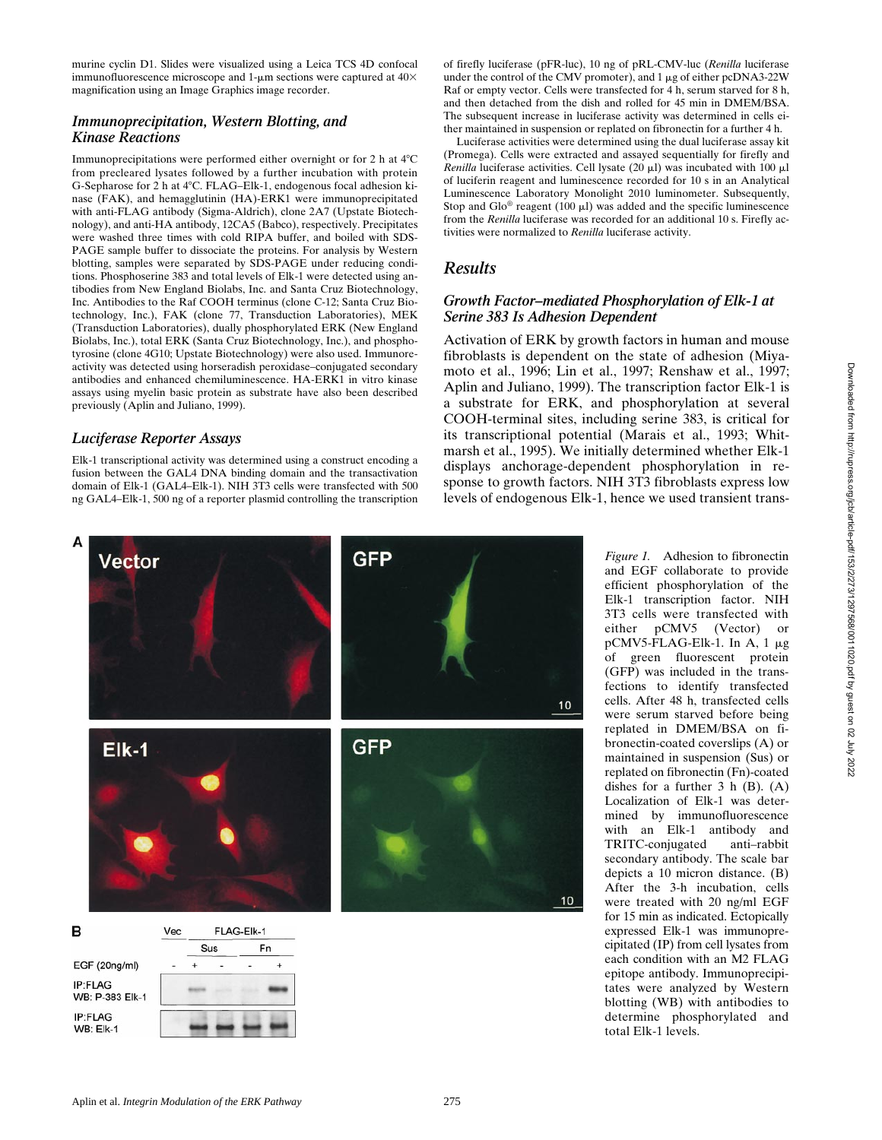murine cyclin D1. Slides were visualized using a Leica TCS 4D confocal immunofluorescence microscope and 1- $\mu$ m sections were captured at 40 $\times$ magnification using an Image Graphics image recorder.

#### *Immunoprecipitation, Western Blotting, and Kinase Reactions*

Immunoprecipitations were performed either overnight or for  $2$  h at  $4^{\circ}C$ from precleared lysates followed by a further incubation with protein G-Sepharose for 2 h at 4°C. FLAG–Elk-1, endogenous focal adhesion kinase (FAK), and hemagglutinin (HA)-ERK1 were immunoprecipitated with anti-FLAG antibody (Sigma-Aldrich), clone 2A7 (Upstate Biotechnology), and anti-HA antibody, 12CA5 (Babco), respectively. Precipitates were washed three times with cold RIPA buffer, and boiled with SDS-PAGE sample buffer to dissociate the proteins. For analysis by Western blotting, samples were separated by SDS-PAGE under reducing conditions. Phosphoserine 383 and total levels of Elk-1 were detected using antibodies from New England Biolabs, Inc. and Santa Cruz Biotechnology, Inc. Antibodies to the Raf COOH terminus (clone C-12; Santa Cruz Biotechnology, Inc.), FAK (clone 77, Transduction Laboratories), MEK (Transduction Laboratories), dually phosphorylated ERK (New England Biolabs, Inc.), total ERK (Santa Cruz Biotechnology, Inc.), and phosphotyrosine (clone 4G10; Upstate Biotechnology) were also used. Immunoreactivity was detected using horseradish peroxidase–conjugated secondary antibodies and enhanced chemiluminescence. HA-ERK1 in vitro kinase assays using myelin basic protein as substrate have also been described previously (Aplin and Juliano, 1999).

### *Luciferase Reporter Assays*

Elk-1 transcriptional activity was determined using a construct encoding a fusion between the GAL4 DNA binding domain and the transactivation domain of Elk-1 (GAL4–Elk-1). NIH 3T3 cells were transfected with 500 ng GAL4–Elk-1, 500 ng of a reporter plasmid controlling the transcription of firefly luciferase (pFR-luc), 10 ng of pRL-CMV-luc (*Renilla* luciferase under the control of the CMV promoter), and  $1 \mu$ g of either pcDNA3-22W Raf or empty vector. Cells were transfected for 4 h, serum starved for 8 h, and then detached from the dish and rolled for 45 min in DMEM/BSA. The subsequent increase in luciferase activity was determined in cells either maintained in suspension or replated on fibronectin for a further 4 h.

Luciferase activities were determined using the dual luciferase assay kit (Promega). Cells were extracted and assayed sequentially for firefly and *Renilla* luciferase activities. Cell lysate  $(20 \mu l)$  was incubated with 100  $\mu l$ of luciferin reagent and luminescence recorded for 10 s in an Analytical Luminescence Laboratory Monolight 2010 luminometer. Subsequently, Stop and Glo<sup>®</sup> reagent (100  $\mu$ l) was added and the specific luminescence from the *Renilla* luciferase was recorded for an additional 10 s. Firefly activities were normalized to *Renilla* luciferase activity.

### *Results*

### *Growth Factor–mediated Phosphorylation of Elk-1 at Serine 383 Is Adhesion Dependent*

Activation of ERK by growth factors in human and mouse fibroblasts is dependent on the state of adhesion (Miyamoto et al., 1996; Lin et al., 1997; Renshaw et al., 1997; Aplin and Juliano, 1999). The transcription factor Elk-1 is a substrate for ERK, and phosphorylation at several COOH-terminal sites, including serine 383, is critical for its transcriptional potential (Marais et al., 1993; Whitmarsh et al., 1995). We initially determined whether Elk-1 displays anchorage-dependent phosphorylation in response to growth factors. NIH 3T3 fibroblasts express low levels of endogenous Elk-1, hence we used transient trans-



*Figure 1.* Adhesion to fibronectin and EGF collaborate to provide efficient phosphorylation of the Elk-1 transcription factor. NIH 3T3 cells were transfected with either pCMV5 (Vector) or pCMV5-FLAG-Elk-1. In A, 1 mg of green fluorescent protein (GFP) was included in the transfections to identify transfected cells. After 48 h, transfected cells were serum starved before being replated in DMEM/BSA on fibronectin-coated coverslips (A) or maintained in suspension (Sus) or replated on fibronectin (Fn)-coated dishes for a further  $3 h (B)$ .  $(A)$ Localization of Elk-1 was determined by immunofluorescence with an Elk-1 antibody and TRITC-conjugated anti–rabbit secondary antibody. The scale bar depicts a 10 micron distance. (B) After the 3-h incubation, cells were treated with 20 ng/ml EGF for 15 min as indicated. Ectopically expressed Elk-1 was immunoprecipitated (IP) from cell lysates from each condition with an M2 FLAG epitope antibody. Immunoprecipitates were analyzed by Western blotting (WB) with antibodies to determine phosphorylated and total Elk-1 levels.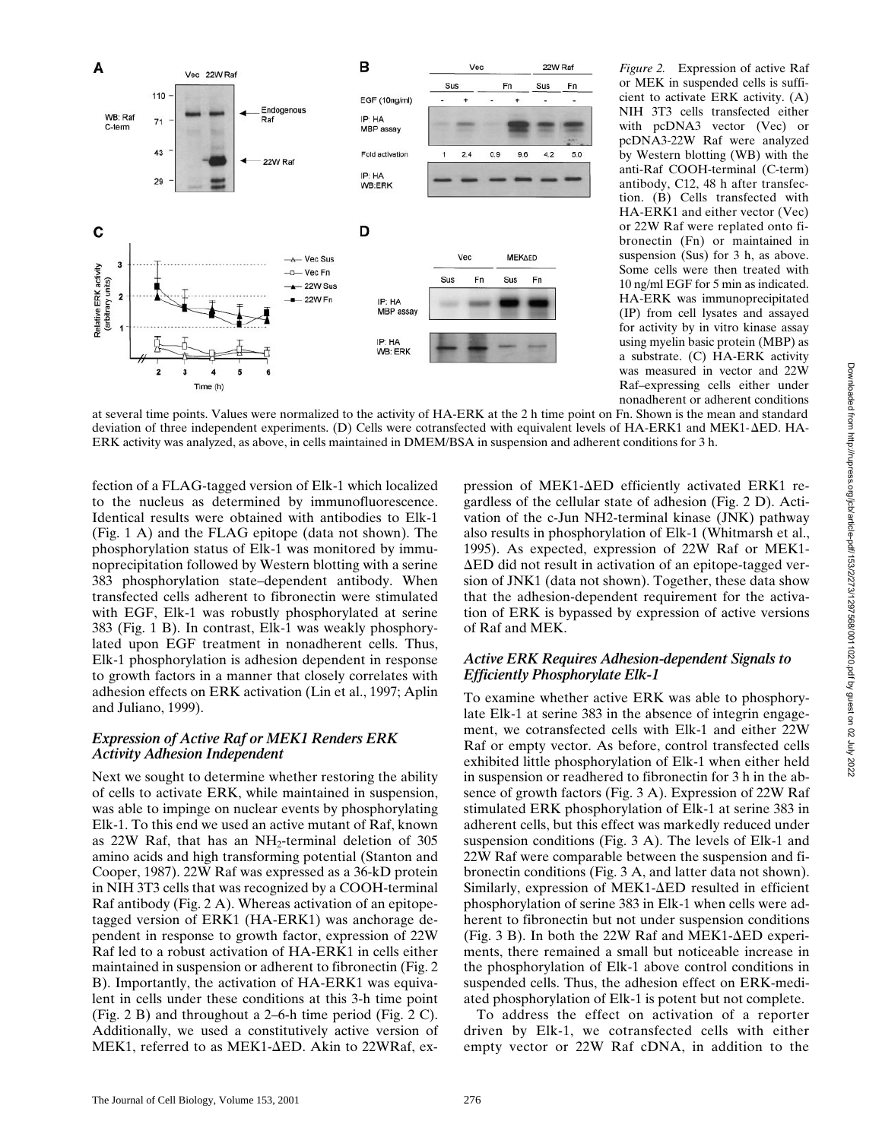

*Figure 2.* Expression of active Raf or MEK in suspended cells is sufficient to activate ERK activity. (A) NIH 3T3 cells transfected either with pcDNA3 vector (Vec) or pcDNA3-22W Raf were analyzed by Western blotting (WB) with the anti-Raf COOH-terminal (C-term) antibody, C12, 48 h after transfection. (B) Cells transfected with HA-ERK1 and either vector (Vec) or 22W Raf were replated onto fibronectin (Fn) or maintained in suspension (Sus) for 3 h, as above. Some cells were then treated with 10 ng/ml EGF for 5 min as indicated. HA-ERK was immunoprecipitated (IP) from cell lysates and assayed for activity by in vitro kinase assay using myelin basic protein (MBP) as a substrate. (C) HA-ERK activity was measured in vector and 22W Raf–expressing cells either under nonadherent or adherent conditions

at several time points. Values were normalized to the activity of HA-ERK at the 2 h time point on Fn. Shown is the mean and standard deviation of three independent experiments. (D) Cells were cotransfected with equivalent levels of HA-ERK1 and MEK1-AED. HA-ERK activity was analyzed, as above, in cells maintained in DMEM/BSA in suspension and adherent conditions for 3 h.

fection of a FLAG-tagged version of Elk-1 which localized to the nucleus as determined by immunofluorescence. Identical results were obtained with antibodies to Elk-1 (Fig. 1 A) and the FLAG epitope (data not shown). The phosphorylation status of Elk-1 was monitored by immunoprecipitation followed by Western blotting with a serine 383 phosphorylation state–dependent antibody. When transfected cells adherent to fibronectin were stimulated with EGF, Elk-1 was robustly phosphorylated at serine 383 (Fig. 1 B). In contrast, Elk-1 was weakly phosphorylated upon EGF treatment in nonadherent cells. Thus, Elk-1 phosphorylation is adhesion dependent in response to growth factors in a manner that closely correlates with adhesion effects on ERK activation (Lin et al., 1997; Aplin and Juliano, 1999).

#### *Expression of Active Raf or MEK1 Renders ERK Activity Adhesion Independent*

Next we sought to determine whether restoring the ability of cells to activate ERK, while maintained in suspension, was able to impinge on nuclear events by phosphorylating Elk-1. To this end we used an active mutant of Raf, known as  $22W$  Raf, that has an NH<sub>2</sub>-terminal deletion of  $305$ amino acids and high transforming potential (Stanton and Cooper, 1987). 22W Raf was expressed as a 36-kD protein in NIH 3T3 cells that was recognized by a COOH-terminal Raf antibody (Fig. 2 A). Whereas activation of an epitopetagged version of ERK1 (HA-ERK1) was anchorage dependent in response to growth factor, expression of 22W Raf led to a robust activation of HA-ERK1 in cells either maintained in suspension or adherent to fibronectin (Fig. 2 B). Importantly, the activation of HA-ERK1 was equivalent in cells under these conditions at this 3-h time point (Fig. 2 B) and throughout a 2–6-h time period (Fig. 2 C). Additionally, we used a constitutively active version of MEK1, referred to as MEK1- $\Delta$ ED. Akin to 22WRaf, ex-

pression of MEK1- $\Delta$ ED efficiently activated ERK1 regardless of the cellular state of adhesion (Fig. 2 D). Activation of the c-Jun NH2-terminal kinase (JNK) pathway also results in phosphorylation of Elk-1 (Whitmarsh et al., 1995). As expected, expression of 22W Raf or MEK1-  $\Delta$ ED did not result in activation of an epitope-tagged version of JNK1 (data not shown). Together, these data show that the adhesion-dependent requirement for the activation of ERK is bypassed by expression of active versions of Raf and MEK.

### *Active ERK Requires Adhesion-dependent Signals to Efficiently Phosphorylate Elk-1*

To examine whether active ERK was able to phosphorylate Elk-1 at serine 383 in the absence of integrin engagement, we cotransfected cells with Elk-1 and either 22W Raf or empty vector. As before, control transfected cells exhibited little phosphorylation of Elk-1 when either held in suspension or readhered to fibronectin for 3 h in the absence of growth factors (Fig. 3 A). Expression of 22W Raf stimulated ERK phosphorylation of Elk-1 at serine 383 in adherent cells, but this effect was markedly reduced under suspension conditions (Fig. 3 A). The levels of Elk-1 and 22W Raf were comparable between the suspension and fibronectin conditions (Fig. 3 A, and latter data not shown). Similarly, expression of MEK1- $\Delta$ ED resulted in efficient phosphorylation of serine 383 in Elk-1 when cells were adherent to fibronectin but not under suspension conditions (Fig. 3 B). In both the 22W Raf and MEK1- $\Delta$ ED experiments, there remained a small but noticeable increase in the phosphorylation of Elk-1 above control conditions in suspended cells. Thus, the adhesion effect on ERK-mediated phosphorylation of Elk-1 is potent but not complete.

To address the effect on activation of a reporter driven by Elk-1, we cotransfected cells with either empty vector or 22W Raf cDNA, in addition to the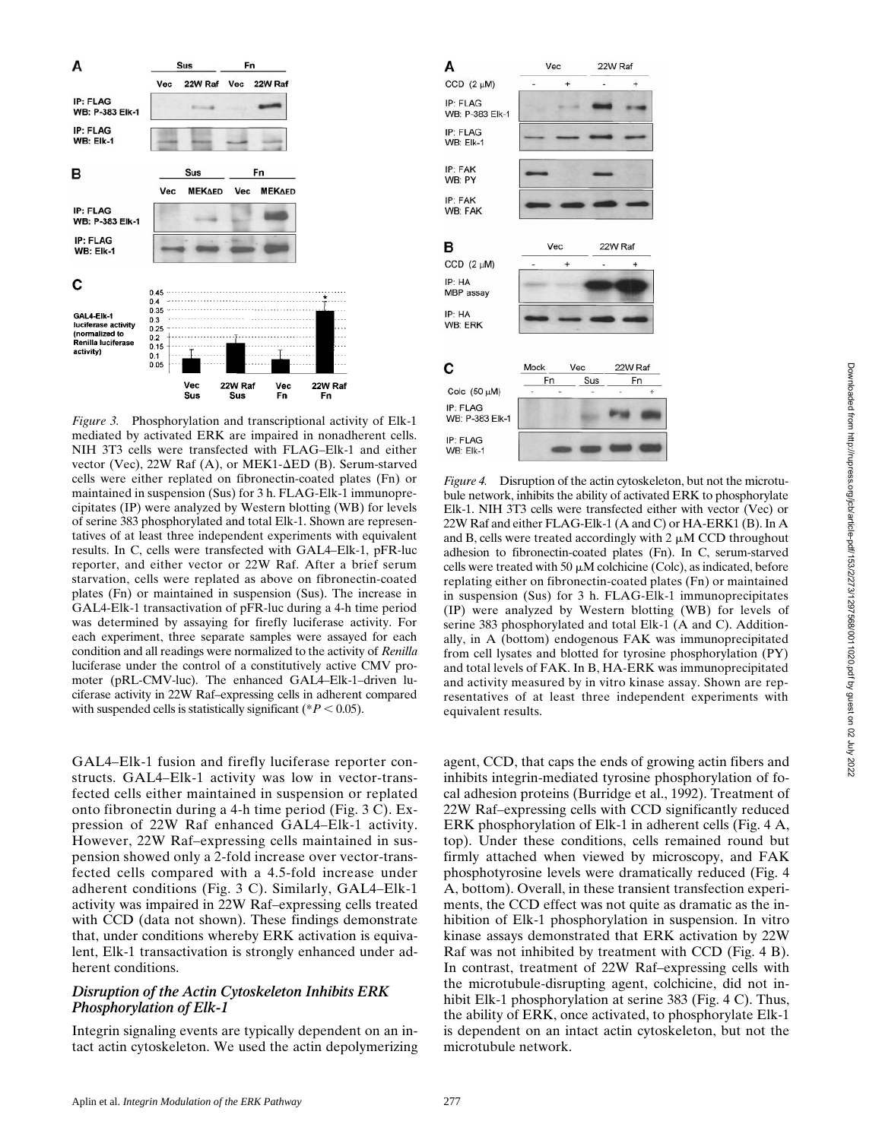

*Figure 3.* Phosphorylation and transcriptional activity of Elk-1 mediated by activated ERK are impaired in nonadherent cells. NIH 3T3 cells were transfected with FLAG–Elk-1 and either vector (Vec), 22W Raf (A), or MEK1- $\Delta$ ED (B). Serum-starved cells were either replated on fibronectin-coated plates (Fn) or maintained in suspension (Sus) for 3 h. FLAG-Elk-1 immunoprecipitates (IP) were analyzed by Western blotting (WB) for levels of serine 383 phosphorylated and total Elk-1. Shown are representatives of at least three independent experiments with equivalent results. In C, cells were transfected with GAL4–Elk-1, pFR-luc reporter, and either vector or 22W Raf. After a brief serum starvation, cells were replated as above on fibronectin-coated plates (Fn) or maintained in suspension (Sus). The increase in GAL4-Elk-1 transactivation of pFR-luc during a 4-h time period was determined by assaying for firefly luciferase activity. For each experiment, three separate samples were assayed for each condition and all readings were normalized to the activity of *Renilla* luciferase under the control of a constitutively active CMV promoter (pRL-CMV-luc). The enhanced GAL4–Elk-1–driven luciferase activity in 22W Raf–expressing cells in adherent compared with suspended cells is statistically significant ( $P < 0.05$ ).

GAL4–Elk-1 fusion and firefly luciferase reporter constructs. GAL4–Elk-1 activity was low in vector-transfected cells either maintained in suspension or replated onto fibronectin during a 4-h time period (Fig. 3 C). Expression of 22W Raf enhanced GAL4–Elk-1 activity. However, 22W Raf–expressing cells maintained in suspension showed only a 2-fold increase over vector-transfected cells compared with a 4.5-fold increase under adherent conditions (Fig. 3 C). Similarly, GAL4–Elk-1 activity was impaired in 22W Raf–expressing cells treated with CCD (data not shown). These findings demonstrate that, under conditions whereby ERK activation is equivalent, Elk-1 transactivation is strongly enhanced under adherent conditions.

### *Disruption of the Actin Cytoskeleton Inhibits ERK Phosphorylation of Elk-1*

Integrin signaling events are typically dependent on an intact actin cytoskeleton. We used the actin depolymerizing



*Figure 4.* Disruption of the actin cytoskeleton, but not the microtubule network, inhibits the ability of activated ERK to phosphorylate Elk-1. NIH 3T3 cells were transfected either with vector (Vec) or 22W Raf and either FLAG-Elk-1 (A and C) or HA-ERK1 (B). In A and B, cells were treated accordingly with  $2 \mu M$  CCD throughout adhesion to fibronectin-coated plates (Fn). In C, serum-starved cells were treated with 50  $\mu$ M colchicine (Colc), as indicated, before replating either on fibronectin-coated plates (Fn) or maintained in suspension (Sus) for 3 h. FLAG-Elk-1 immunoprecipitates (IP) were analyzed by Western blotting (WB) for levels of serine 383 phosphorylated and total Elk-1 (A and C). Additionally, in A (bottom) endogenous FAK was immunoprecipitated from cell lysates and blotted for tyrosine phosphorylation (PY) and total levels of FAK. In B, HA-ERK was immunoprecipitated and activity measured by in vitro kinase assay. Shown are representatives of at least three independent experiments with equivalent results.

agent, CCD, that caps the ends of growing actin fibers and inhibits integrin-mediated tyrosine phosphorylation of focal adhesion proteins (Burridge et al., 1992). Treatment of 22W Raf–expressing cells with CCD significantly reduced ERK phosphorylation of Elk-1 in adherent cells (Fig. 4 A, top). Under these conditions, cells remained round but firmly attached when viewed by microscopy, and FAK phosphotyrosine levels were dramatically reduced (Fig. 4 A, bottom). Overall, in these transient transfection experiments, the CCD effect was not quite as dramatic as the inhibition of Elk-1 phosphorylation in suspension. In vitro kinase assays demonstrated that ERK activation by 22W Raf was not inhibited by treatment with CCD (Fig. 4 B). In contrast, treatment of 22W Raf–expressing cells with the microtubule-disrupting agent, colchicine, did not inhibit Elk-1 phosphorylation at serine 383 (Fig. 4 C). Thus, the ability of ERK, once activated, to phosphorylate Elk-1 is dependent on an intact actin cytoskeleton, but not the microtubule network.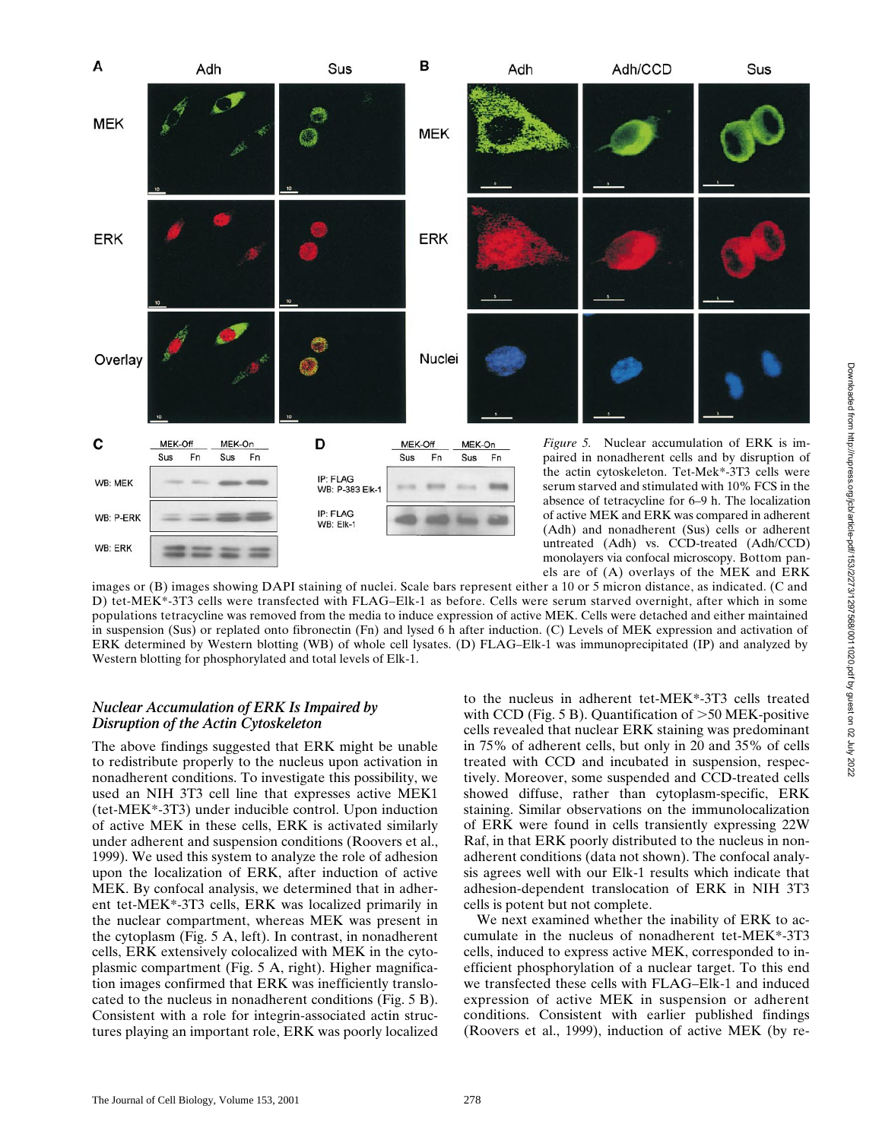

images or (B) images showing DAPI staining of nuclei. Scale bars represent either a 10 or 5 micron distance, as indicated. (C and D) tet-MEK\*-3T3 cells were transfected with FLAG–Elk-1 as before. Cells were serum starved overnight, after which in some populations tetracycline was removed from the media to induce expression of active MEK. Cells were detached and either maintained in suspension (Sus) or replated onto fibronectin (Fn) and lysed 6 h after induction. (C) Levels of MEK expression and activation of ERK determined by Western blotting (WB) of whole cell lysates. (D) FLAG–Elk-1 was immunoprecipitated (IP) and analyzed by Western blotting for phosphorylated and total levels of Elk-1.

### *Nuclear Accumulation of ERK Is Impaired by Disruption of the Actin Cytoskeleton*

The above findings suggested that ERK might be unable to redistribute properly to the nucleus upon activation in nonadherent conditions. To investigate this possibility, we used an NIH 3T3 cell line that expresses active MEK1 (tet-MEK\*-3T3) under inducible control. Upon induction of active MEK in these cells, ERK is activated similarly under adherent and suspension conditions (Roovers et al., 1999). We used this system to analyze the role of adhesion upon the localization of ERK, after induction of active MEK. By confocal analysis, we determined that in adherent tet-MEK\*-3T3 cells, ERK was localized primarily in the nuclear compartment, whereas MEK was present in the cytoplasm (Fig. 5 A, left). In contrast, in nonadherent cells, ERK extensively colocalized with MEK in the cytoplasmic compartment (Fig. 5 A, right). Higher magnification images confirmed that ERK was inefficiently translocated to the nucleus in nonadherent conditions (Fig. 5 B). Consistent with a role for integrin-associated actin structures playing an important role, ERK was poorly localized

to the nucleus in adherent tet-MEK\*-3T3 cells treated with CCD (Fig.  $5 B$ ). Quantification of  $> 50$  MEK-positive cells revealed that nuclear ERK staining was predominant in 75% of adherent cells, but only in 20 and 35% of cells treated with CCD and incubated in suspension, respectively. Moreover, some suspended and CCD-treated cells showed diffuse, rather than cytoplasm-specific, ERK staining. Similar observations on the immunolocalization of ERK were found in cells transiently expressing 22W Raf, in that ERK poorly distributed to the nucleus in nonadherent conditions (data not shown). The confocal analysis agrees well with our Elk-1 results which indicate that adhesion-dependent translocation of ERK in NIH 3T3 cells is potent but not complete.

We next examined whether the inability of ERK to accumulate in the nucleus of nonadherent tet-MEK\*-3T3 cells, induced to express active MEK, corresponded to inefficient phosphorylation of a nuclear target. To this end we transfected these cells with FLAG–Elk-1 and induced expression of active MEK in suspension or adherent conditions. Consistent with earlier published findings (Roovers et al., 1999), induction of active MEK (by re-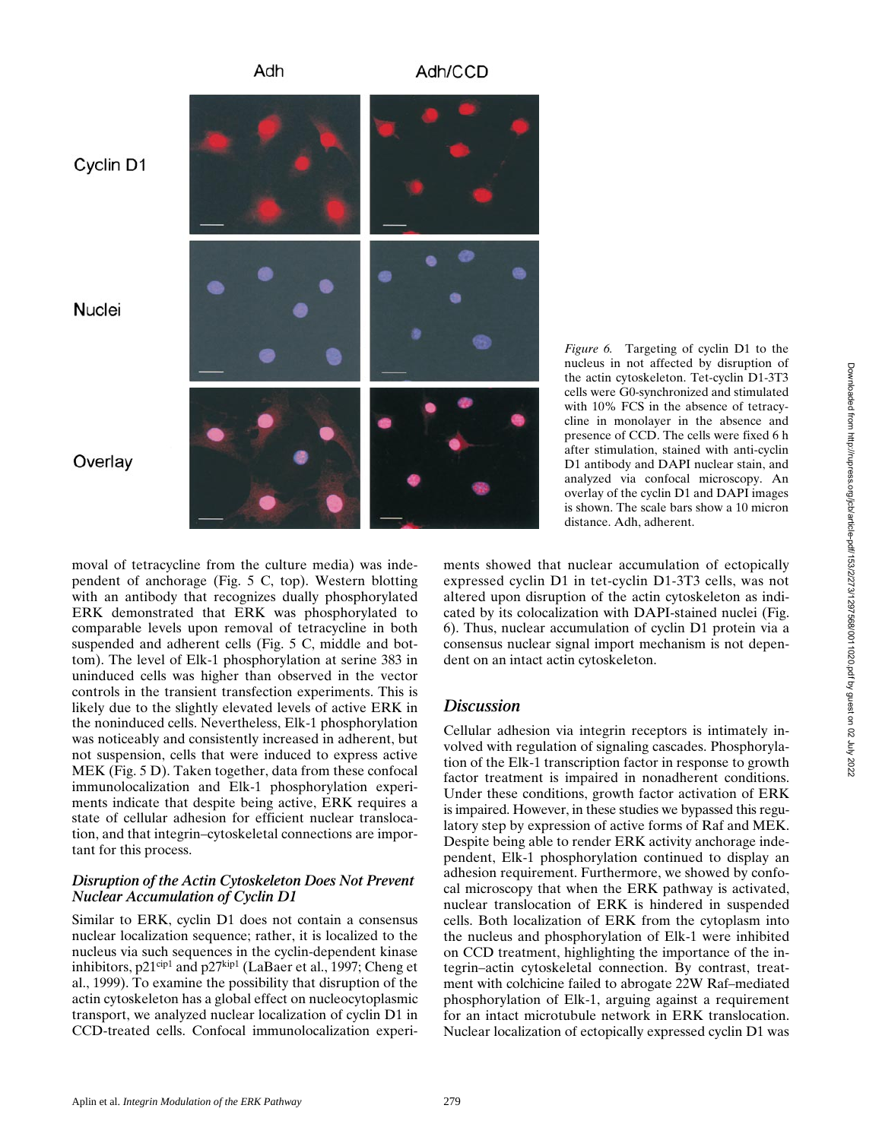

Adh

*Figure 6.* Targeting of cyclin D1 to the nucleus in not affected by disruption of the actin cytoskeleton. Tet-cyclin D1-3T3 cells were G0-synchronized and stimulated with 10% FCS in the absence of tetracycline in monolayer in the absence and presence of CCD. The cells were fixed 6 h after stimulation, stained with anti-cyclin D1 antibody and DAPI nuclear stain, and analyzed via confocal microscopy. An overlay of the cyclin D1 and DAPI images is shown. The scale bars show a 10 micron distance. Adh, adherent.

moval of tetracycline from the culture media) was independent of anchorage (Fig. 5 C, top). Western blotting with an antibody that recognizes dually phosphorylated ERK demonstrated that ERK was phosphorylated to comparable levels upon removal of tetracycline in both suspended and adherent cells (Fig. 5 C, middle and bottom). The level of Elk-1 phosphorylation at serine 383 in uninduced cells was higher than observed in the vector controls in the transient transfection experiments. This is likely due to the slightly elevated levels of active ERK in the noninduced cells. Nevertheless, Elk-1 phosphorylation was noticeably and consistently increased in adherent, but not suspension, cells that were induced to express active MEK (Fig. 5 D). Taken together, data from these confocal immunolocalization and Elk-1 phosphorylation experiments indicate that despite being active, ERK requires a state of cellular adhesion for efficient nuclear translocation, and that integrin–cytoskeletal connections are important for this process.

### *Disruption of the Actin Cytoskeleton Does Not Prevent Nuclear Accumulation of Cyclin D1*

Similar to ERK, cyclin D1 does not contain a consensus nuclear localization sequence; rather, it is localized to the nucleus via such sequences in the cyclin-dependent kinase inhibitors,  $p21^{cip1}$  and  $p27^{kip1}$  (LaBaer et al., 1997; Cheng et al., 1999). To examine the possibility that disruption of the actin cytoskeleton has a global effect on nucleocytoplasmic transport, we analyzed nuclear localization of cyclin D1 in CCD-treated cells. Confocal immunolocalization experiments showed that nuclear accumulation of ectopically expressed cyclin D1 in tet-cyclin D1-3T3 cells, was not altered upon disruption of the actin cytoskeleton as indicated by its colocalization with DAPI-stained nuclei (Fig. 6). Thus, nuclear accumulation of cyclin D1 protein via a consensus nuclear signal import mechanism is not dependent on an intact actin cytoskeleton.

## *Discussion*

Cellular adhesion via integrin receptors is intimately involved with regulation of signaling cascades. Phosphorylation of the Elk-1 transcription factor in response to growth factor treatment is impaired in nonadherent conditions. Under these conditions, growth factor activation of ERK is impaired. However, in these studies we bypassed this regulatory step by expression of active forms of Raf and MEK. Despite being able to render ERK activity anchorage independent, Elk-1 phosphorylation continued to display an adhesion requirement. Furthermore, we showed by confocal microscopy that when the ERK pathway is activated, nuclear translocation of ERK is hindered in suspended cells. Both localization of ERK from the cytoplasm into the nucleus and phosphorylation of Elk-1 were inhibited on CCD treatment, highlighting the importance of the integrin–actin cytoskeletal connection. By contrast, treatment with colchicine failed to abrogate 22W Raf–mediated phosphorylation of Elk-1, arguing against a requirement for an intact microtubule network in ERK translocation. Nuclear localization of ectopically expressed cyclin D1 was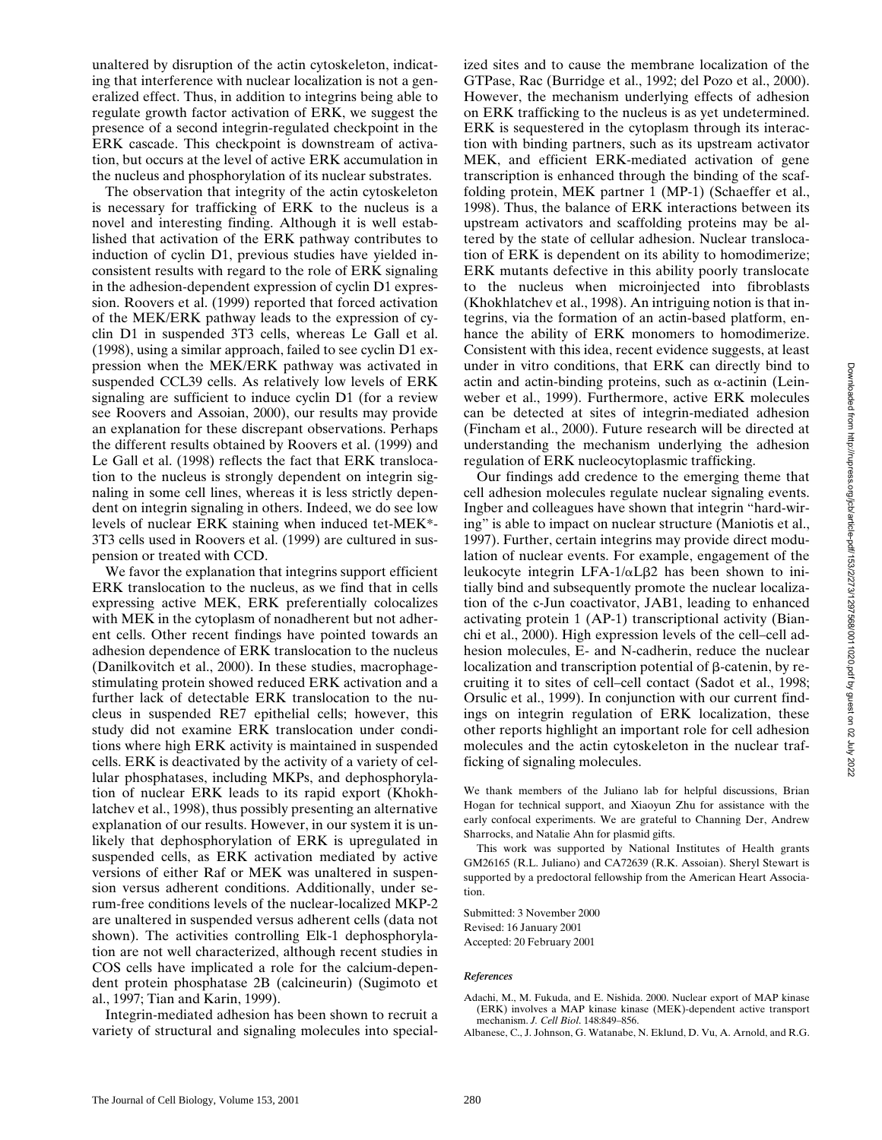unaltered by disruption of the actin cytoskeleton, indicating that interference with nuclear localization is not a generalized effect. Thus, in addition to integrins being able to regulate growth factor activation of ERK, we suggest the presence of a second integrin-regulated checkpoint in the ERK cascade. This checkpoint is downstream of activation, but occurs at the level of active ERK accumulation in the nucleus and phosphorylation of its nuclear substrates.

The observation that integrity of the actin cytoskeleton is necessary for trafficking of ERK to the nucleus is a novel and interesting finding. Although it is well established that activation of the ERK pathway contributes to induction of cyclin D1, previous studies have yielded inconsistent results with regard to the role of ERK signaling in the adhesion-dependent expression of cyclin D1 expression. Roovers et al. (1999) reported that forced activation of the MEK/ERK pathway leads to the expression of cyclin D1 in suspended 3T3 cells, whereas Le Gall et al. (1998), using a similar approach, failed to see cyclin D1 expression when the MEK/ERK pathway was activated in suspended CCL39 cells. As relatively low levels of ERK signaling are sufficient to induce cyclin D1 (for a review see Roovers and Assoian, 2000), our results may provide an explanation for these discrepant observations. Perhaps the different results obtained by Roovers et al. (1999) and Le Gall et al. (1998) reflects the fact that ERK translocation to the nucleus is strongly dependent on integrin signaling in some cell lines, whereas it is less strictly dependent on integrin signaling in others. Indeed, we do see low levels of nuclear ERK staining when induced tet-MEK\*- 3T3 cells used in Roovers et al. (1999) are cultured in suspension or treated with CCD.

We favor the explanation that integrins support efficient ERK translocation to the nucleus, as we find that in cells expressing active MEK, ERK preferentially colocalizes with MEK in the cytoplasm of nonadherent but not adherent cells. Other recent findings have pointed towards an adhesion dependence of ERK translocation to the nucleus (Danilkovitch et al., 2000). In these studies, macrophagestimulating protein showed reduced ERK activation and a further lack of detectable ERK translocation to the nucleus in suspended RE7 epithelial cells; however, this study did not examine ERK translocation under conditions where high ERK activity is maintained in suspended cells. ERK is deactivated by the activity of a variety of cellular phosphatases, including MKPs, and dephosphorylation of nuclear ERK leads to its rapid export (Khokhlatchev et al., 1998), thus possibly presenting an alternative explanation of our results. However, in our system it is unlikely that dephosphorylation of ERK is upregulated in suspended cells, as ERK activation mediated by active versions of either Raf or MEK was unaltered in suspension versus adherent conditions. Additionally, under serum-free conditions levels of the nuclear-localized MKP-2 are unaltered in suspended versus adherent cells (data not shown). The activities controlling Elk-1 dephosphorylation are not well characterized, although recent studies in COS cells have implicated a role for the calcium-dependent protein phosphatase 2B (calcineurin) (Sugimoto et al., 1997; Tian and Karin, 1999).

Integrin-mediated adhesion has been shown to recruit a variety of structural and signaling molecules into specialized sites and to cause the membrane localization of the GTPase, Rac (Burridge et al., 1992; del Pozo et al., 2000). However, the mechanism underlying effects of adhesion on ERK trafficking to the nucleus is as yet undetermined. ERK is sequestered in the cytoplasm through its interaction with binding partners, such as its upstream activator MEK, and efficient ERK-mediated activation of gene transcription is enhanced through the binding of the scaffolding protein, MEK partner 1 (MP-1) (Schaeffer et al., 1998). Thus, the balance of ERK interactions between its upstream activators and scaffolding proteins may be altered by the state of cellular adhesion. Nuclear translocation of ERK is dependent on its ability to homodimerize; ERK mutants defective in this ability poorly translocate to the nucleus when microinjected into fibroblasts (Khokhlatchev et al., 1998). An intriguing notion is that integrins, via the formation of an actin-based platform, enhance the ability of ERK monomers to homodimerize. Consistent with this idea, recent evidence suggests, at least under in vitro conditions, that ERK can directly bind to actin and actin-binding proteins, such as  $\alpha$ -actinin (Leinweber et al., 1999). Furthermore, active ERK molecules can be detected at sites of integrin-mediated adhesion (Fincham et al., 2000). Future research will be directed at understanding the mechanism underlying the adhesion regulation of ERK nucleocytoplasmic trafficking.

Our findings add credence to the emerging theme that cell adhesion molecules regulate nuclear signaling events. Ingber and colleagues have shown that integrin "hard-wiring" is able to impact on nuclear structure (Maniotis et al., 1997). Further, certain integrins may provide direct modulation of nuclear events. For example, engagement of the leukocyte integrin LFA- $1/\alpha$ L $\beta$ 2 has been shown to initially bind and subsequently promote the nuclear localization of the c-Jun coactivator, JAB1, leading to enhanced activating protein 1 (AP-1) transcriptional activity (Bianchi et al., 2000). High expression levels of the cell–cell adhesion molecules, E- and N-cadherin, reduce the nuclear localization and transcription potential of  $\beta$ -catenin, by recruiting it to sites of cell–cell contact (Sadot et al., 1998; Orsulic et al., 1999). In conjunction with our current findings on integrin regulation of ERK localization, these other reports highlight an important role for cell adhesion molecules and the actin cytoskeleton in the nuclear trafficking of signaling molecules.

We thank members of the Juliano lab for helpful discussions, Brian Hogan for technical support, and Xiaoyun Zhu for assistance with the early confocal experiments. We are grateful to Channing Der, Andrew Sharrocks, and Natalie Ahn for plasmid gifts.

This work was supported by National Institutes of Health grants GM26165 (R.L. Juliano) and CA72639 (R.K. Assoian). Sheryl Stewart is supported by a predoctoral fellowship from the American Heart Association.

Submitted: 3 November 2000 Revised: 16 January 2001 Accepted: 20 February 2001

#### *References*

- Adachi, M., M. Fukuda, and E. Nishida. 2000. Nuclear export of MAP kinase (ERK) involves a MAP kinase kinase (MEK)-dependent active transport mechanism. *J. Cell Biol*. 148:849–856.
- Albanese, C., J. Johnson, G. Watanabe, N. Eklund, D. Vu, A. Arnold, and R.G.